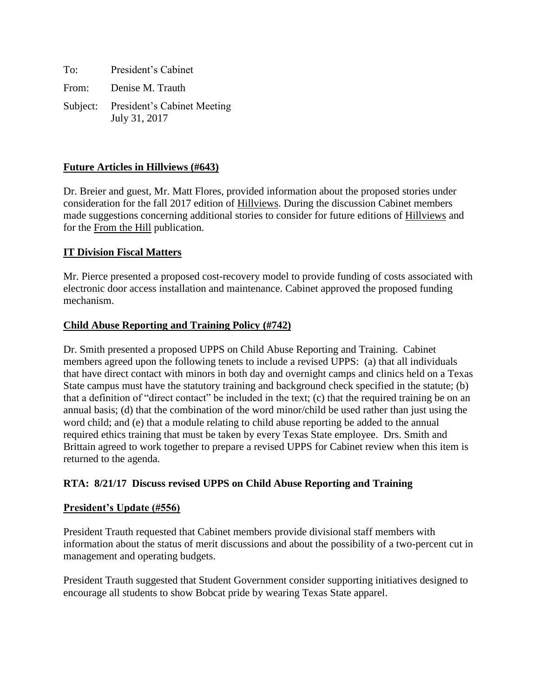To: President's Cabinet From: Denise M. Trauth Subject: President's Cabinet Meeting July 31, 2017

# **Future Articles in Hillviews (#643)**

Dr. Breier and guest, Mr. Matt Flores, provided information about the proposed stories under consideration for the fall 2017 edition of Hillviews. During the discussion Cabinet members made suggestions concerning additional stories to consider for future editions of Hillviews and for the From the Hill publication.

# **IT Division Fiscal Matters**

Mr. Pierce presented a proposed cost-recovery model to provide funding of costs associated with electronic door access installation and maintenance. Cabinet approved the proposed funding mechanism.

# **Child Abuse Reporting and Training Policy (#742)**

Dr. Smith presented a proposed UPPS on Child Abuse Reporting and Training. Cabinet members agreed upon the following tenets to include a revised UPPS: (a) that all individuals that have direct contact with minors in both day and overnight camps and clinics held on a Texas State campus must have the statutory training and background check specified in the statute; (b) that a definition of "direct contact" be included in the text; (c) that the required training be on an annual basis; (d) that the combination of the word minor/child be used rather than just using the word child; and (e) that a module relating to child abuse reporting be added to the annual required ethics training that must be taken by every Texas State employee. Drs. Smith and Brittain agreed to work together to prepare a revised UPPS for Cabinet review when this item is returned to the agenda.

# **RTA: 8/21/17 Discuss revised UPPS on Child Abuse Reporting and Training**

### **President's Update (#556)**

President Trauth requested that Cabinet members provide divisional staff members with information about the status of merit discussions and about the possibility of a two-percent cut in management and operating budgets.

President Trauth suggested that Student Government consider supporting initiatives designed to encourage all students to show Bobcat pride by wearing Texas State apparel.